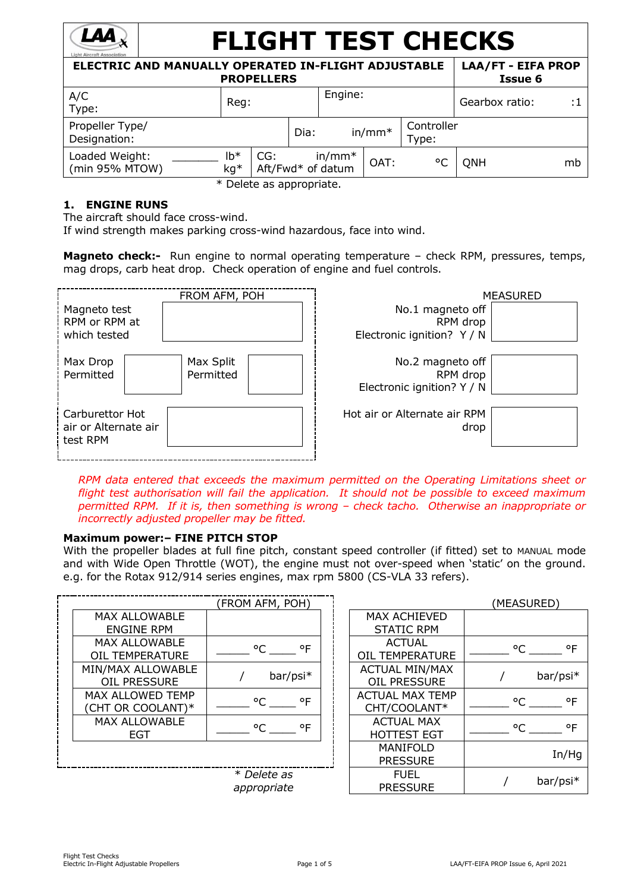

# **FLIGHT TEST CHECKS**

**ELECTRIC AND MANUALLY OPERATED IN-FLIGHT ADJUSTABLE PROPELLERS LAA/FT - EIFA PROP Issue 6** A/C Type: Reg: Engine: Gearbox ratio: :1 Propeller Type/ Designation: Dia: in/mm\* Controller Type: Loaded Weight: \_\_\_\_\_\_\_\_ lb\*  $(min 95\% MTOW)$  kg\* CG: in/mm\* LG: INTINUTE OAT:  $\circ$ C QNH mb

\* Delete as appropriate.

# **1. ENGINE RUNS**

The aircraft should face cross-wind.

If wind strength makes parking cross-wind hazardous, face into wind.

**Magneto check:-** Run engine to normal operating temperature – check RPM, pressures, temps, mag drops, carb heat drop. Check operation of engine and fuel controls.



*RPM data entered that exceeds the maximum permitted on the Operating Limitations sheet or flight test authorisation will fail the application. It should not be possible to exceed maximum permitted RPM. If it is, then something is wrong – check tacho. Otherwise an inappropriate or incorrectly adjusted propeller may be fitted.*

# **Maximum power:– FINE PITCH STOP**

With the propeller blades at full fine pitch, constant speed controller (if fitted) set to MANUAL mode and with Wide Open Throttle (WOT), the engine must not over-speed when 'static' on the ground. e.g. for the Rotax 912/914 series engines, max rpm 5800 (CS-VLA 33 refers).

|                         | (FROM AFM, POH)              |                        |
|-------------------------|------------------------------|------------------------|
| <b>MAX ALLOWABLE</b>    |                              | <b>MAX ACHIEVED</b>    |
| <b>ENGINE RPM</b>       |                              | <b>STATIC RPM</b>      |
| <b>MAX ALLOWABLE</b>    | ٥F<br>°€                     | <b>ACTUAL</b>          |
| OIL TEMPERATURE         |                              | <b>OIL TEMPERATURE</b> |
| MIN/MAX ALLOWABLE       |                              | <b>ACTUAL MIN/MAX</b>  |
| OIL PRESSURE            | bar/psi*                     | <b>OIL PRESSURE</b>    |
| <b>MAX ALLOWED TEMP</b> | $^{\circ}$ F<br>$^{\circ}$ C | <b>ACTUAL MAX TEMP</b> |
| (CHT OR COOLANT)*       |                              | CHT/COOLANT*           |
| <b>MAX ALLOWABLE</b>    | ٥F<br>°C                     | <b>ACTUAL MAX</b>      |
| EGT                     |                              | <b>HOTTEST EGT</b>     |
|                         |                              | <b>MANIFOLD</b>        |
|                         |                              | <b>PRESSURE</b>        |
|                         | * Delete as                  | fuel                   |

| <b>MAX ACHIEVED</b>    |          |
|------------------------|----------|
| <b>STATIC RPM</b>      |          |
| <b>ACTUAL</b>          | °C<br>۰F |
| <b>OIL TEMPERATURE</b> |          |
| <b>ACTUAL MIN/MAX</b>  |          |
| <b>OIL PRESSURE</b>    | bar/psi* |
| <b>ACTUAL MAX TEMP</b> | °C<br>۰F |
| CHT/COOLANT*           |          |
| <b>ACTUAL MAX</b>      | ٥F<br>۰ς |
| <b>HOTTEST EGT</b>     |          |
| <b>MANIFOLD</b>        |          |
| <b>PRESSURE</b>        | In/Hg    |
| FUEL                   |          |
| PRESSURE               | bar/psi* |

\* *Delete as appropriate*

(MEASURED)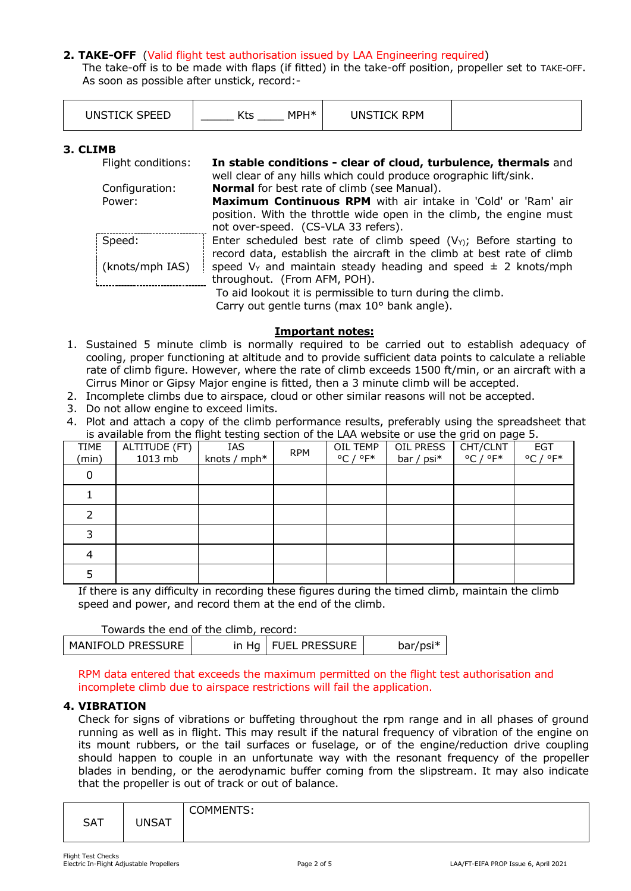# **2. TAKE-OFF** (Valid flight test authorisation issued by LAA Engineering required)

The take-off is to be made with flaps (if fitted) in the take-off position, propeller set to TAKE-OFF. As soon as possible after unstick, record:-

| SPEED<br>UNSTICK<br>--- | $MPH*$<br><br>้ เม | TCK RPM<br>INS <sup>-</sup> |  |
|-------------------------|--------------------|-----------------------------|--|
|-------------------------|--------------------|-----------------------------|--|

# **3. CLIMB**

| Flight conditions: | In stable conditions - clear of cloud, turbulence, thermals and<br>well clear of any hills which could produce orographic lift/sink.                                        |
|--------------------|-----------------------------------------------------------------------------------------------------------------------------------------------------------------------------|
| Configuration:     | <b>Normal</b> for best rate of climb (see Manual).                                                                                                                          |
| Power:             | Maximum Continuous RPM with air intake in 'Cold' or 'Ram' air<br>position. With the throttle wide open in the climb, the engine must<br>not over-speed. (CS-VLA 33 refers). |
| Speed:             | Enter scheduled best rate of climb speed ( $V_{\gamma}$ ); Before starting to<br>record data, establish the aircraft in the climb at best rate of climb                     |
| (knots/mph IAS)    | speed $V_Y$ and maintain steady heading and speed $\pm$ 2 knots/mph<br>throughout. (From AFM, POH).                                                                         |
|                    | To aid lookout it is permissible to turn during the climb.                                                                                                                  |

Carry out gentle turns (max 10° bank angle).

#### **Important notes:**

- 1. Sustained 5 minute climb is normally required to be carried out to establish adequacy of cooling, proper functioning at altitude and to provide sufficient data points to calculate a reliable rate of climb figure. However, where the rate of climb exceeds 1500 ft/min, or an aircraft with a Cirrus Minor or Gipsy Major engine is fitted, then a 3 minute climb will be accepted.
- 2. Incomplete climbs due to airspace, cloud or other similar reasons will not be accepted.
- 3. Do not allow engine to exceed limits.
- 4. Plot and attach a copy of the climb performance results, preferably using the spreadsheet that is available from the flight testing section of the LAA website or use the grid on page 5.

| TIME  | ALTITUDE (FT) | IAS          | <b>RPM</b> | OIL TEMP                     | OIL PRESS  | CHT/CLNT                     | <b>EGT</b>                   |
|-------|---------------|--------------|------------|------------------------------|------------|------------------------------|------------------------------|
| (min) | 1013 mb       | knots / mph* |            | $^{\circ}$ C / $^{\circ}$ F* | bar / psi* | $^{\circ}$ C / $^{\circ}$ F* | $^{\circ}$ C / $^{\circ}$ F* |
| O     |               |              |            |                              |            |                              |                              |
|       |               |              |            |                              |            |                              |                              |
|       |               |              |            |                              |            |                              |                              |
|       |               |              |            |                              |            |                              |                              |
|       |               |              |            |                              |            |                              |                              |
|       |               |              |            |                              |            |                              |                              |

If there is any difficulty in recording these figures during the timed climb, maintain the climb speed and power, and record them at the end of the climb.

Towards the end of the climb, record:

| MANIFOLD PRESSURE | in Hg   FUEL PRESSURE | bar/psi* |
|-------------------|-----------------------|----------|
|                   |                       |          |

RPM data entered that exceeds the maximum permitted on the flight test authorisation and incomplete climb due to airspace restrictions will fail the application.

## **4. VIBRATION**

Check for signs of vibrations or buffeting throughout the rpm range and in all phases of ground running as well as in flight. This may result if the natural frequency of vibration of the engine on its mount rubbers, or the tail surfaces or fuselage, or of the engine/reduction drive coupling should happen to couple in an unfortunate way with the resonant frequency of the propeller blades in bending, or the aerodynamic buffer coming from the slipstream. It may also indicate that the propeller is out of track or out of balance.

|            |       | $C0$ $M1$ $T0$ $T0$<br>∸ ≀NMMEN ⊢<br><u>.</u> |
|------------|-------|-----------------------------------------------|
| <b>SAT</b> | JNSAT |                                               |
|            |       |                                               |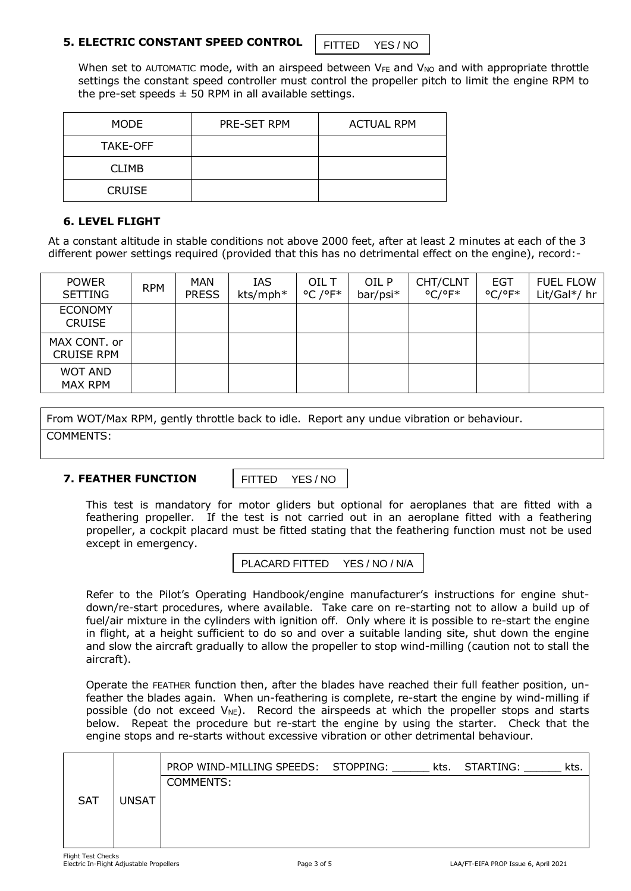# **5. ELECTRIC CONSTANT SPEED CONTROL**

FITTED YES / NO

When set to AUTOMATIC mode, with an airspeed between  $V_{FE}$  and  $V_{NO}$  and with appropriate throttle settings the constant speed controller must control the propeller pitch to limit the engine RPM to the pre-set speeds  $\pm$  50 RPM in all available settings.

| <b>MODE</b>   | PRE-SET RPM | <b>ACTUAL RPM</b> |
|---------------|-------------|-------------------|
| TAKE-OFF      |             |                   |
| <b>CLIMB</b>  |             |                   |
| <b>CRUISE</b> |             |                   |

# **6. LEVEL FLIGHT**

At a constant altitude in stable conditions not above 2000 feet, after at least 2 minutes at each of the 3 different power settings required (provided that this has no detrimental effect on the engine), record:-

| <b>POWER</b><br><b>SETTING</b>    | <b>RPM</b> | MAN<br><b>PRESS</b> | IAS<br>kts/mph* | OIL T<br>$^{\circ}$ C / $^{\circ}$ F* | OIL P<br>bar/psi* | CHT/CLNT<br>$^{\circ}$ C/ $^{\circ}$ F* | <b>EGT</b><br>$^{\circ}$ C/ $^{\circ}$ F* | <b>FUEL FLOW</b><br>Lit/Gal*/ hr |
|-----------------------------------|------------|---------------------|-----------------|---------------------------------------|-------------------|-----------------------------------------|-------------------------------------------|----------------------------------|
| <b>ECONOMY</b><br><b>CRUISE</b>   |            |                     |                 |                                       |                   |                                         |                                           |                                  |
| MAX CONT. or<br><b>CRUISE RPM</b> |            |                     |                 |                                       |                   |                                         |                                           |                                  |
| <b>WOT AND</b><br><b>MAX RPM</b>  |            |                     |                 |                                       |                   |                                         |                                           |                                  |

From WOT/Max RPM, gently throttle back to idle. Report any undue vibration or behaviour. COMMENTS:

# **7. FEATHER FUNCTION**

FITTED YES / NO

This test is mandatory for motor gliders but optional for aeroplanes that are fitted with a feathering propeller. If the test is not carried out in an aeroplane fitted with a feathering propeller, a cockpit placard must be fitted stating that the feathering function must not be used except in emergency.

PLACARD FITTED YES / NO / N/A

Refer to the Pilot's Operating Handbook/engine manufacturer's instructions for engine shutdown/re-start procedures, where available. Take care on re-starting not to allow a build up of fuel/air mixture in the cylinders with ignition off. Only where it is possible to re-start the engine in flight, at a height sufficient to do so and over a suitable landing site, shut down the engine and slow the aircraft gradually to allow the propeller to stop wind-milling (caution not to stall the aircraft).

Operate the FEATHER function then, after the blades have reached their full feather position, unfeather the blades again. When un-feathering is complete, re-start the engine by wind-milling if possible (do not exceed  $V_{NE}$ ). Record the airspeeds at which the propeller stops and starts below. Repeat the procedure but re-start the engine by using the starter. Check that the engine stops and re-starts without excessive vibration or other detrimental behaviour.

|            |       | PROP WIND-MILLING SPEEDS: STOPPING: | kts. STARTING:<br>kts. |
|------------|-------|-------------------------------------|------------------------|
|            |       | COMMENTS:                           |                        |
| <b>SAT</b> | UNSAT |                                     |                        |
|            |       |                                     |                        |
|            |       |                                     |                        |
|            |       |                                     |                        |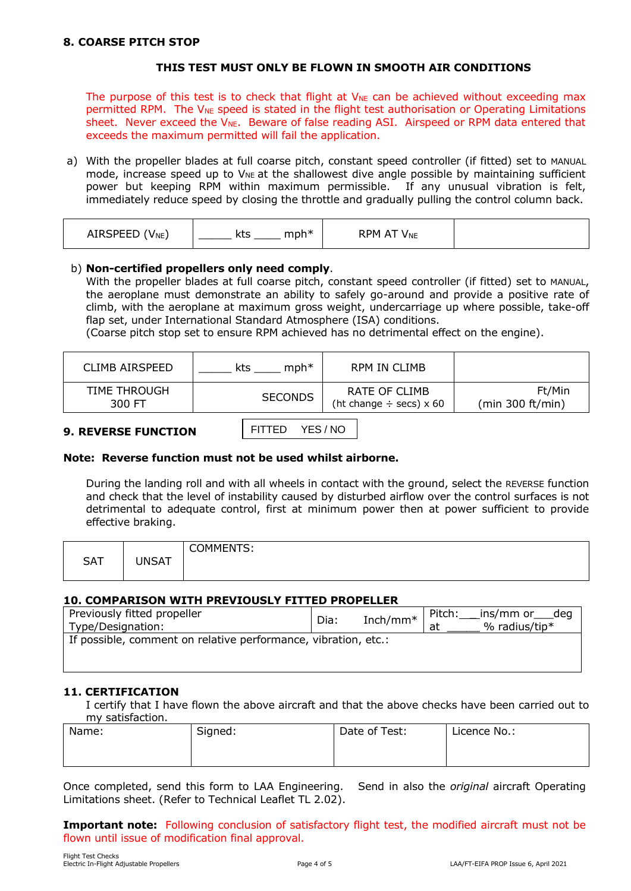# **THIS TEST MUST ONLY BE FLOWN IN SMOOTH AIR CONDITIONS**

The purpose of this test is to check that flight at  $V_{NE}$  can be achieved without exceeding max permitted RPM. The V<sub>NE</sub> speed is stated in the flight test authorisation or Operating Limitations sheet. Never exceed the  $V_{NE}$ . Beware of false reading ASI. Airspeed or RPM data entered that exceeds the maximum permitted will fail the application.

a) With the propeller blades at full coarse pitch, constant speed controller (if fitted) set to MANUAL mode, increase speed up to V<sub>NE</sub> at the shallowest dive angle possible by maintaining sufficient power but keeping RPM within maximum permissible. If any unusual vibration is felt, immediately reduce speed by closing the throttle and gradually pulling the control column back.

| AIRSPEED<br>$'V_{NE}$ | ملدا<br>$m$ ph $*$<br>レキー<br>rco | RPM AT<br><b>V</b> <sub>NE</sub><br>ГVГ |  |
|-----------------------|----------------------------------|-----------------------------------------|--|
|-----------------------|----------------------------------|-----------------------------------------|--|

## b) **Non-certified propellers only need comply**.

With the propeller blades at full coarse pitch, constant speed controller (if fitted) set to MANUAL, the aeroplane must demonstrate an ability to safely go-around and provide a positive rate of climb, with the aeroplane at maximum gross weight, undercarriage up where possible, take-off flap set, under International Standard Atmosphere (ISA) conditions.

(Coarse pitch stop set to ensure RPM achieved has no detrimental effect on the engine).

| <b>CLIMB AIRSPEED</b> | $mph*$<br>kts  | RPM IN CLIMB                        |                  |
|-----------------------|----------------|-------------------------------------|------------------|
| TIME THROUGH          | <b>SECONDS</b> | RATE OF CLIMB                       | Ft/Min           |
| 300 FT                |                | (ht change $\div$ secs) $\times$ 60 | (min 300 ft/min) |

#### **9. REVERSE FUNCTION**

FITTED YES / NO

## **Note: Reverse function must not be used whilst airborne.**

During the landing roll and with all wheels in contact with the ground, select the REVERSE function and check that the level of instability caused by disturbed airflow over the control surfaces is not detrimental to adequate control, first at minimum power then at power sufficient to provide effective braking.

|            |              | COMMENTS: |
|------------|--------------|-----------|
| <b>SAT</b> | <b>UNSAT</b> |           |
|            |              |           |

## **10. COMPARISON WITH PREVIOUSLY FITTED PROPELLER**

| Previously fitted propeller<br>Type/Designation:               | Dia: | Inch/mm $*$ | Pitch:<br>at | ins/mm or<br>dea<br>$%$ radius/tip* |  |  |
|----------------------------------------------------------------|------|-------------|--------------|-------------------------------------|--|--|
| If possible, comment on relative performance, vibration, etc.: |      |             |              |                                     |  |  |

## **11. CERTIFICATION**

I certify that I have flown the above aircraft and that the above checks have been carried out to my satisfaction.

| Name: | Signed: | Date of Test: | Licence No.: |
|-------|---------|---------------|--------------|
|       |         |               |              |

Once completed, send this form to LAA Engineering. Send in also the *original* aircraft Operating Limitations sheet. (Refer to Technical Leaflet TL 2.02).

**Important note:** Following conclusion of satisfactory flight test, the modified aircraft must not be flown until issue of modification final approval.